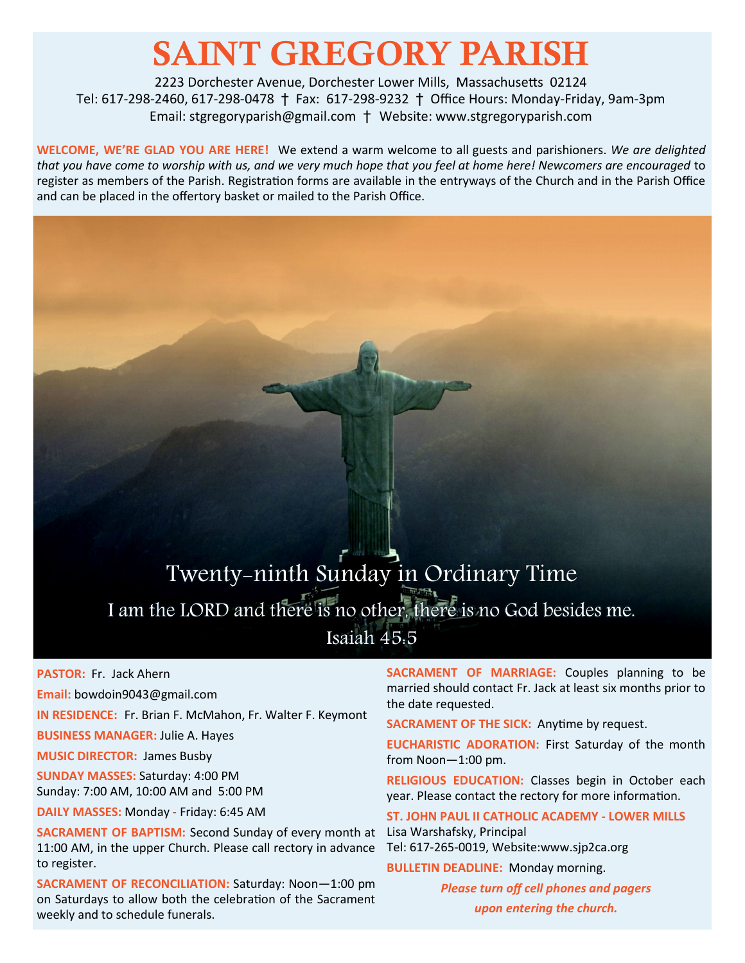# SAINT GREGORY PARISH

2223 Dorchester Avenue, Dorchester Lower Mills, Massachusetts 02124 Tel: 617-298-2460, 617-298-0478 † Fax: 617-298-9232 † Office Hours: Monday-Friday, 9am-3pm Email: stgregoryparish@gmail.com † Website: www.stgregoryparish.com

**WELCOME, WE'RE GLAD YOU ARE HERE!** We extend a warm welcome to all guests and parishioners. *We are delighted that you have come to worship with us, and we very much hope that you feel at home here! Newcomers are encouraged* to register as members of the Parish. Registration forms are available in the entryways of the Church and in the Parish Office and can be placed in the offertory basket or mailed to the Parish Office.

## Twenty-ninth Sunday in Ordinary Time I am the LORD and there is no other, there is no God besides me. Isaiah  $45.5$

**PASTOR:** Fr. Jack Ahern

**Email:** bowdoin9043@gmail.com

**IN RESIDENCE:** Fr. Brian F. McMahon, Fr. Walter F. Keymont

**BUSINESS MANAGER:** Julie A. Hayes

**MUSIC DIRECTOR:** James Busby

**SUNDAY MASSES:** Saturday: 4:00 PM Sunday: 7:00 AM, 10:00 AM and 5:00 PM

**DAILY MASSES:** Monday - Friday: 6:45 AM

**SACRAMENT OF BAPTISM:** Second Sunday of every month at Lisa Warshafsky, Principal 11:00 AM, in the upper Church. Please call rectory in advance to register.

**SACRAMENT OF RECONCILIATION:** Saturday: Noon—1:00 pm on Saturdays to allow both the celebration of the Sacrament weekly and to schedule funerals.

**SACRAMENT OF MARRIAGE:** Couples planning to be married should contact Fr. Jack at least six months prior to the date requested.

**SACRAMENT OF THE SICK:** Anytime by request.

**EUCHARISTIC ADORATION:** First Saturday of the month from Noon—1:00 pm.

**RELIGIOUS EDUCATION:** Classes begin in October each year. Please contact the rectory for more information.

**ST. JOHN PAUL II CATHOLIC ACADEMY - LOWER MILLS** Tel: 617-265-0019, Website:www.sjp2ca.org

**BULLETIN DEADLINE:** Monday morning.

*Please turn off cell phones and pagers upon entering the church.*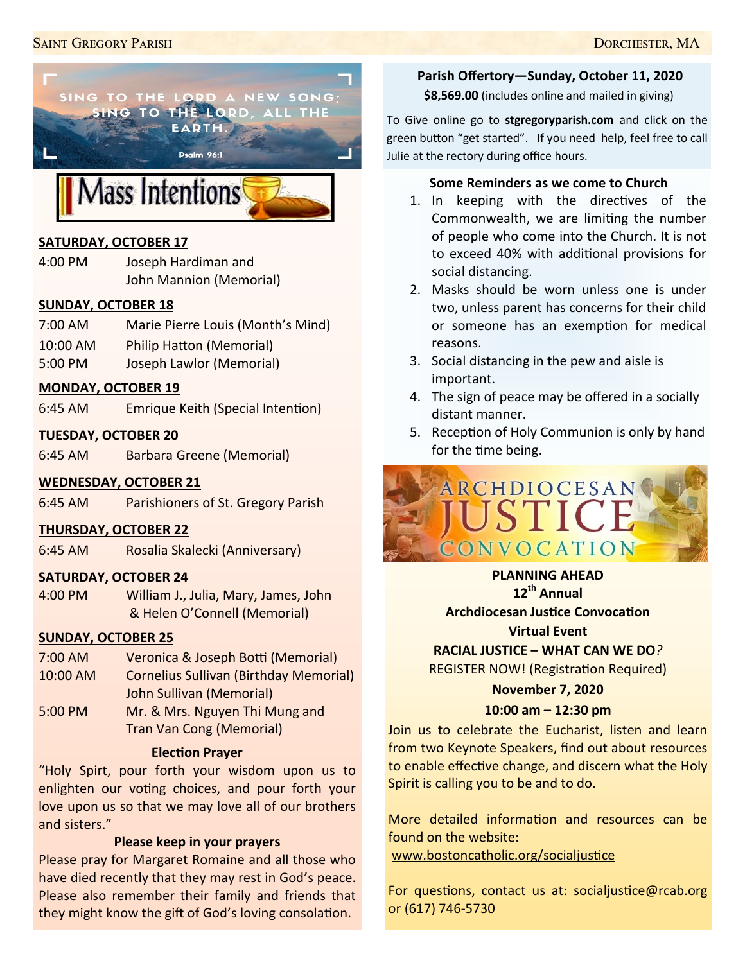

## **SATURDAY, OCTOBER 17**

4:00 PM Joseph Hardiman and John Mannion (Memorial)

#### **SUNDAY, OCTOBER 18**

- 7:00 AM Marie Pierre Louis (Month's Mind)
- 10:00 AM Philip Hatton (Memorial)
- 5:00 PM Joseph Lawlor (Memorial)

#### **MONDAY, OCTOBER 19**

6:45 AM Emrique Keith (Special Intention)

#### **TUESDAY, OCTOBER 20**

6:45 AM Barbara Greene (Memorial)

#### **WEDNESDAY, OCTOBER 21**

6:45 AM Parishioners of St. Gregory Parish

#### **THURSDAY, OCTOBER 22**

6:45 AM Rosalia Skalecki (Anniversary)

#### **SATURDAY, OCTOBER 24**

4:00 PM William J., Julia, Mary, James, John & Helen O'Connell (Memorial)

#### **SUNDAY, OCTOBER 25**

- 7:00 AM Veronica & Joseph Botti (Memorial) 10:00 AM Cornelius Sullivan (Birthday Memorial) John Sullivan (Memorial)
- 5:00 PM Mr. & Mrs. Nguyen Thi Mung and Tran Van Cong (Memorial)

#### **Election Prayer**

"Holy Spirt, pour forth your wisdom upon us to enlighten our voting choices, and pour forth your love upon us so that we may love all of our brothers and sisters."

#### **Please keep in your prayers**

Please pray for Margaret Romaine and all those who have died recently that they may rest in God's peace. Please also remember their family and friends that they might know the gift of God's loving consolation.

## **Parish Offertory—Sunday, October 11, 2020**

**\$8,569.00** (includes online and mailed in giving)

To Give online go to **stgregoryparish.com** and click on the green button "get started". If you need help, feel free to call Julie at the rectory during office hours.

#### **Some Reminders as we come to Church**

- 1. In keeping with the directives of the Commonwealth, we are limiting the number of people who come into the Church. It is not to exceed 40% with additional provisions for social distancing.
- 2. Masks should be worn unless one is under two, unless parent has concerns for their child or someone has an exemption for medical reasons.
- 3. Social distancing in the pew and aisle is important.
- 4. The sign of peace may be offered in a socially distant manner.
- 5. Reception of Holy Communion is only by hand for the time being.



**PLANNING AHEAD**  $12^{th}$  **Annual Archdiocesan Justice Convocation Virtual Event**

#### **RACIAL JUSTICE – WHAT CAN WE DO***?*

REGISTER NOW! (Registration Required)

#### **November 7, 2020**

#### **10:00 am – 12:30 pm**

Join us to celebrate the Eucharist, listen and learn from two Keynote Speakers, find out about resources to enable effective change, and discern what the Holy Spirit is calling you to be and to do.

More detailed information and resources can be found on the website:

[www.bostoncatholic.org/socialjustice](http://www.bostoncatholic.org/socialjustice)

For questions, contact us at: socialjustice@rcab.org or (617) 746-5730